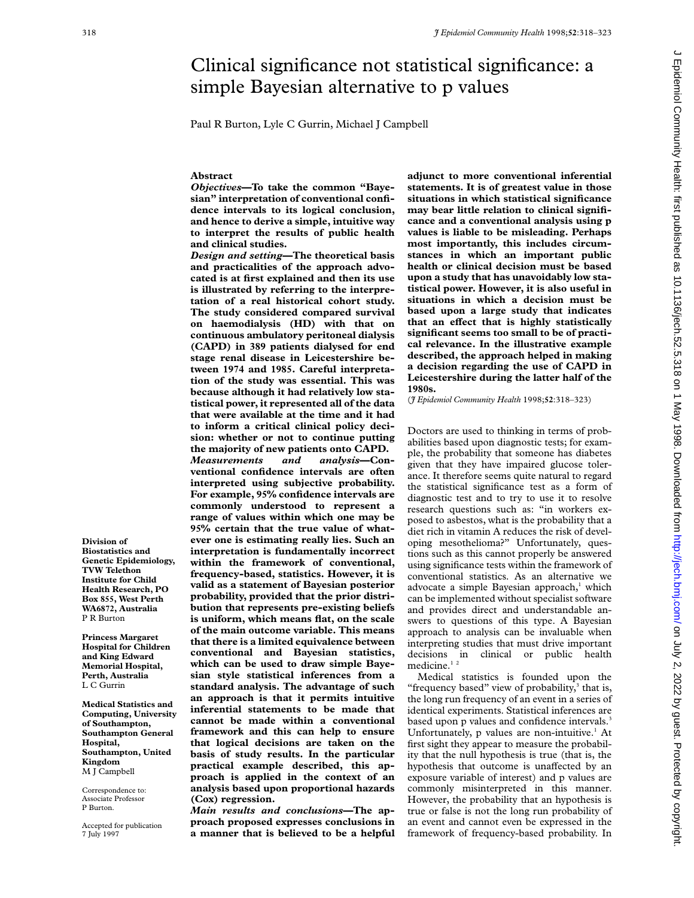# Clinical significance not statistical significance: a simple Bayesian alternative to p values

Paul R Burton, Lyle C Gurrin, Michael J Campbell

# **Abstract**

*Objectives***—To take the common "Bayesian" interpretation of conventional confidence intervals to its logical conclusion, and hence to derive a simple, intuitive way to interpret the results of public health and clinical studies.**

*Design and setting***—The theoretical basis and practicalities of the approach advocated is at first explained and then its use is illustrated by referring to the interpretation of a real historical cohort study. The study considered compared survival on haemodialysis (HD) with that on continuous ambulatory peritoneal dialysis (CAPD) in 389 patients dialysed for end stage renal disease in Leicestershire between 1974 and 1985. Careful interpretation of the study was essential. This was because although it had relatively low statistical power, it represented all of the data that were available at the time and it had to inform a critical clinical policy decision: whether or not to continue putting the majority of new patients onto CAPD.** *Measurements and analysis***—Conventional confidence intervals are often interpreted using subjective probability. For example, 95% confidence intervals are commonly understood to represent a range of values within which one may be 95% certain that the true value of whatever one is estimating really lies. Such an interpretation is fundamentally incorrect within the framework of conventional, frequency-based, statistics. However, it is valid as a statement of Bayesian posterior probability, provided that the prior distribution that represents pre-existing beliefs is uniform, which means flat, on the scale of the main outcome variable. This means that there is a limited equivalence between conventional and Bayesian statistics, which can be used to draw simple Bayesian style statistical inferences from a standard analysis. The advantage of such an approach is that it permits intuitive inferential statements to be made that cannot be made within a conventional framework and this can help to ensure that logical decisions are taken on the basis of study results. In the particular practical example described, this approach is applied in the context of an analysis based upon proportional hazards (Cox) regression.**

*Main results and conclusions***—The approach proposed expresses conclusions in a manner that is believed to be a helpful** **adjunct to more conventional inferential statements. It is of greatest value in those situations in which statistical significance may bear little relation to clinical significance and a conventional analysis using p values is liable to be misleading. Perhaps most importantly, this includes circumstances in which an important public health or clinical decision must be based upon a study that has unavoidably low statistical power. However, it is also useful in situations in which a decision must be based upon a large study that indicates** that an effect that is highly statistically **significant seems too small to be of practical relevance. In the illustrative example described, the approach helped in making a decision regarding the use of CAPD in Leicestershire during the latter half of the 1980s.**

(*J Epidemiol Community Health* 1998;**52**:318–323)

Doctors are used to thinking in terms of probabilities based upon diagnostic tests; for example, the probability that someone has diabetes given that they have impaired glucose tolerance. It therefore seems quite natural to regard the statistical significance test as a form of diagnostic test and to try to use it to resolve research questions such as: "in workers exposed to asbestos, what is the probability that a diet rich in vitamin A reduces the risk of developing mesothelioma?" Unfortunately, questions such as this cannot properly be answered using significance tests within the framework of conventional statistics. As an alternative we advocate a simple Bayesian approach, $<sup>1</sup>$  which</sup> can be implemented without specialist software and provides direct and understandable answers to questions of this type. A Bayesian approach to analysis can be invaluable when interpreting studies that must drive important decisions in clinical or public health medicine.<sup>12</sup>

Medical statistics is founded upon the "frequency based" view of probability, $3$  that is, the long run frequency of an event in a series of identical experiments. Statistical inferences are based upon p values and confidence intervals.<sup>3</sup> Unfortunately, p values are non-intuitive.<sup>1</sup> At first sight they appear to measure the probability that the null hypothesis is true (that is, the hypothesis that outcome is unaffected by an exposure variable of interest) and p values are commonly misinterpreted in this manner. However, the probability that an hypothesis is true or false is not the long run probability of an event and cannot even be expressed in the framework of frequency-based probability. In

**Division of Biostatistics and Genetic Epidemiology, TVW Telethon Institute for Child Health Research, PO Box 855, West Perth WA6872, Australia** P R Burton

**Princess Margaret Hospital for Children and King Edward Memorial Hospital, Perth, Australia** L C Gurrin

**Medical Statistics and Computing, University of Southampton, Southampton General Hospital, Southampton, United Kingdom** M J Campbell

Correspondence to: Associate Professor P Burton.

Accepted for publication 7 July 1997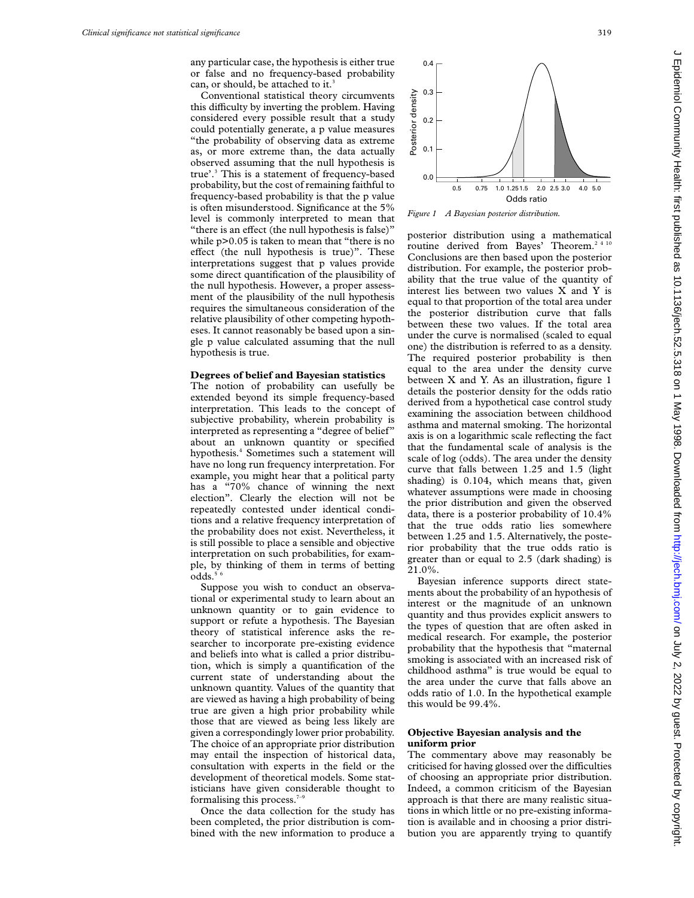any particular case, the hypothesis is either true or false and no frequency-based probability can, or should, be attached to it.<sup>3</sup>

Conventional statistical theory circumvents this difficulty by inverting the problem. Having considered every possible result that a study could potentially generate, a p value measures "the probability of observing data as extreme as, or more extreme than, the data actually observed assuming that the null hypothesis is true'.3 This is a statement of frequency-based probability, but the cost of remaining faithful to frequency-based probability is that the p value is often misunderstood. Significance at the 5% level is commonly interpreted to mean that "there is an effect (the null hypothesis is false)" while  $p > 0.05$  is taken to mean that "there is no effect (the null hypothesis is true)". These interpretations suggest that p values provide some direct quantification of the plausibility of the null hypothesis. However, a proper assessment of the plausibility of the null hypothesis requires the simultaneous consideration of the relative plausibility of other competing hypotheses. It cannot reasonably be based upon a single p value calculated assuming that the null hypothesis is true.

## **Degrees of belief and Bayesian statistics**

The notion of probability can usefully be extended beyond its simple frequency-based interpretation. This leads to the concept of subjective probability, wherein probability is interpreted as representing a "degree of belief" about an unknown quantity or specified hypothesis.4 Sometimes such a statement will have no long run frequency interpretation. For example, you might hear that a political party has a "70% chance of winning the next election". Clearly the election will not be repeatedly contested under identical conditions and a relative frequency interpretation of the probability does not exist. Nevertheless, it is still possible to place a sensible and objective interpretation on such probabilities, for example, by thinking of them in terms of betting odds.<sup>5 6</sup>

Suppose you wish to conduct an observational or experimental study to learn about an unknown quantity or to gain evidence to support or refute a hypothesis. The Bayesian theory of statistical inference asks the researcher to incorporate pre-existing evidence and beliefs into what is called a prior distribution, which is simply a quantification of the current state of understanding about the unknown quantity. Values of the quantity that are viewed as having a high probability of being true are given a high prior probability while those that are viewed as being less likely are given a correspondingly lower prior probability. The choice of an appropriate prior distribution may entail the inspection of historical data, consultation with experts in the field or the development of theoretical models. Some statisticians have given considerable thought to formalising this process. $7-9$ 

Once the data collection for the study has been completed, the prior distribution is combined with the new information to produce a



*Figure 1 A Bayesian posterior distribution.*

posterior distribution using a mathematical routine derived from Bayes' Theorem.<sup>24 10</sup> Conclusions are then based upon the posterior distribution. For example, the posterior probability that the true value of the quantity of interest lies between two values X and Y is equal to that proportion of the total area under the posterior distribution curve that falls between these two values. If the total area under the curve is normalised (scaled to equal one) the distribution is referred to as a density. The required posterior probability is then equal to the area under the density curve between X and Y. As an illustration, figure 1 details the posterior density for the odds ratio derived from a hypothetical case control study examining the association between childhood asthma and maternal smoking. The horizontal axis is on a logarithmic scale reflecting the fact that the fundamental scale of analysis is the scale of log (odds). The area under the density curve that falls between 1.25 and 1.5 (light shading) is 0.104, which means that, given whatever assumptions were made in choosing the prior distribution and given the observed data, there is a posterior probability of 10.4% that the true odds ratio lies somewhere between 1.25 and 1.5. Alternatively, the posterior probability that the true odds ratio is greater than or equal to 2.5 (dark shading) is 21.0%.

Bayesian inference supports direct statements about the probability of an hypothesis of interest or the magnitude of an unknown quantity and thus provides explicit answers to the types of question that are often asked in medical research. For example, the posterior probability that the hypothesis that "maternal smoking is associated with an increased risk of childhood asthma" is true would be equal to the area under the curve that falls above an odds ratio of 1.0. In the hypothetical example this would be 99.4%.

#### **Objective Bayesian analysis and the uniform prior**

The commentary above may reasonably be criticised for having glossed over the difficulties of choosing an appropriate prior distribution. Indeed, a common criticism of the Bayesian approach is that there are many realistic situations in which little or no pre-existing information is available and in choosing a prior distribution you are apparently trying to quantify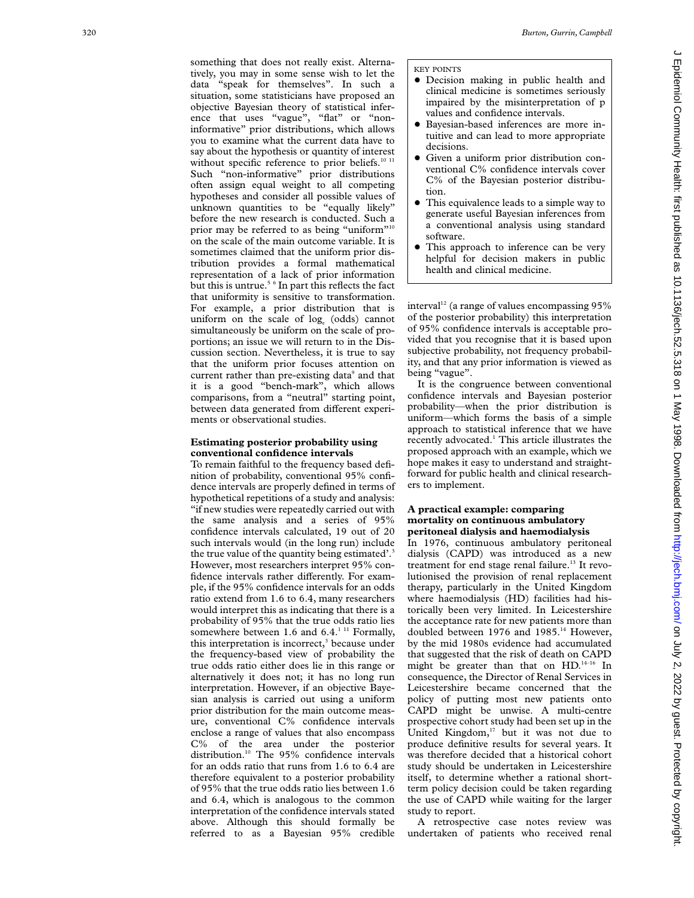something that does not really exist. Alternatively, you may in some sense wish to let the data "speak for themselves". In such a situation, some statisticians have proposed an objective Bayesian theory of statistical inference that uses "vague", "flat" or "noninformative" prior distributions, which allows you to examine what the current data have to say about the hypothesis or quantity of interest without specific reference to prior beliefs.<sup>10 11</sup> Such "non-informative" prior distributions often assign equal weight to all competing hypotheses and consider all possible values of unknown quantities to be "equally likely" before the new research is conducted. Such a prior may be referred to as being "uniform"10 on the scale of the main outcome variable. It is sometimes claimed that the uniform prior distribution provides a formal mathematical representation of a lack of prior information but this is untrue.<sup>5 6</sup> In part this reflects the fact that uniformity is sensitive to transformation. For example, a prior distribution that is uniform on the scale of log<sub>e</sub> (odds) cannot simultaneously be uniform on the scale of proportions; an issue we will return to in the Discussion section. Nevertheless, it is true to say that the uniform prior focuses attention on current rather than pre-existing data<sup>9</sup> and that it is a good "bench-mark", which allows comparisons, from a "neutral" starting point, between data generated from different experiments or observational studies.

# **Estimating posterior probability using conventional confidence intervals**

To remain faithful to the frequency based definition of probability, conventional 95% confidence intervals are properly defined in terms of hypothetical repetitions of a study and analysis: "if new studies were repeatedly carried out with the same analysis and a series of 95% confidence intervals calculated, 19 out of 20 such intervals would (in the long run) include the true value of the quantity being estimated'.<sup>3</sup> However, most researchers interpret 95% confidence intervals rather differently. For example, if the 95% confidence intervals for an odds ratio extend from 1.6 to 6.4, many researchers would interpret this as indicating that there is a probability of 95% that the true odds ratio lies somewhere between 1.6 and  $6.4$ .<sup>111</sup> Formally, this interpretation is incorrect, <sup>3</sup> because under the frequency-based view of probability the true odds ratio either does lie in this range or alternatively it does not; it has no long run interpretation. However, if an objective Bayesian analysis is carried out using a uniform prior distribution for the main outcome measure, conventional C% confidence intervals enclose a range of values that also encompass C% of the area under the posterior distribution.<sup>10</sup> The 95% confidence intervals for an odds ratio that runs from 1.6 to 6.4 are therefore equivalent to a posterior probability of 95% that the true odds ratio lies between 1.6 and 6.4, which is analogous to the common interpretation of the confidence intervals stated above. Although this should formally be referred to as a Bayesian 95% credible

## KEY POINTS

- + Decision making in public health and clinical medicine is sometimes seriously impaired by the misinterpretation of p values and confidence intervals.
- + Bayesian-based inferences are more intuitive and can lead to more appropriate decisions.
- + Given a uniform prior distribution conventional C% confidence intervals cover C% of the Bayesian posterior distribution.
- This equivalence leads to a simple way to generate useful Bayesian inferences from a conventional analysis using standard software.
- This approach to inference can be very helpful for decision makers in public health and clinical medicine.

interval<sup>12</sup> (a range of values encompassing  $95\%$ of the posterior probability) this interpretation of 95% confidence intervals is acceptable provided that you recognise that it is based upon subjective probability, not frequency probability, and that any prior information is viewed as being "vague".

It is the congruence between conventional confidence intervals and Bayesian posterior probability—when the prior distribution is uniform—which forms the basis of a simple approach to statistical inference that we have recently advocated.<sup>1</sup> This article illustrates the proposed approach with an example, which we hope makes it easy to understand and straightforward for public health and clinical researchers to implement.

# **A practical example: comparing mortality on continuous ambulatory peritoneal dialysis and haemodialysis**

In 1976, continuous ambulatory peritoneal dialysis (CAPD) was introduced as a new treatment for end stage renal failure.<sup>13</sup> It revolutionised the provision of renal replacement therapy, particularly in the United Kingdom where haemodialysis (HD) facilities had historically been very limited. In Leicestershire the acceptance rate for new patients more than doubled between 1976 and 1985.<sup>14</sup> However, by the mid 1980s evidence had accumulated that suggested that the risk of death on CAPD might be greater than that on HD.14–16 In consequence, the Director of Renal Services in Leicestershire became concerned that the policy of putting most new patients onto CAPD might be unwise. A multi-centre prospective cohort study had been set up in the United Kingdom, $17$  but it was not due to produce definitive results for several years. It was therefore decided that a historical cohort study should be undertaken in Leicestershire itself, to determine whether a rational shortterm policy decision could be taken regarding the use of CAPD while waiting for the larger study to report.

A retrospective case notes review was undertaken of patients who received renal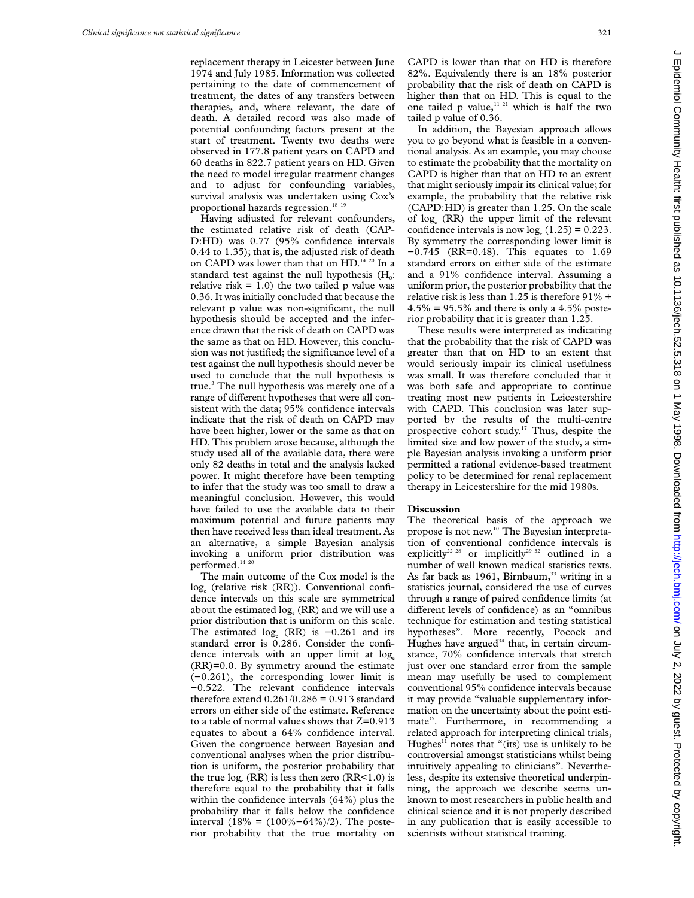replacement therapy in Leicester between June 1974 and July 1985. Information was collected pertaining to the date of commencement of treatment, the dates of any transfers between therapies, and, where relevant, the date of death. A detailed record was also made of potential confounding factors present at the start of treatment. Twenty two deaths were observed in 177.8 patient years on CAPD and 60 deaths in 822.7 patient years on HD. Given the need to model irregular treatment changes and to adjust for confounding variables, survival analysis was undertaken using Cox's proportional hazards regression.<sup>18 19</sup>

Having adjusted for relevant confounders, the estimated relative risk of death (CAP-D:HD) was 0.77 (95% confidence intervals 0.44 to 1.35); that is, the adjusted risk of death on CAPD was lower than that on HD.<sup>14 20</sup> In a standard test against the null hypothesis  $(H_0:$ relative risk  $= 1.0$ ) the two tailed p value was 0.36. It was initially concluded that because the relevant p value was non-significant, the null hypothesis should be accepted and the inference drawn that the risk of death on CAPD was the same as that on HD. However, this conclusion was not justified; the significance level of a test against the null hypothesis should never be used to conclude that the null hypothesis is true.3 The null hypothesis was merely one of a range of different hypotheses that were all consistent with the data; 95% confidence intervals indicate that the risk of death on CAPD may have been higher, lower or the same as that on HD. This problem arose because, although the study used all of the available data, there were only 82 deaths in total and the analysis lacked power. It might therefore have been tempting to infer that the study was too small to draw a meaningful conclusion. However, this would have failed to use the available data to their maximum potential and future patients may then have received less than ideal treatment. As an alternative, a simple Bayesian analysis invoking a uniform prior distribution was performed.<sup>14 20</sup>

The main outcome of the Cox model is the  $log_e$  (relative risk  $(RR)$ ). Conventional confidence intervals on this scale are symmetrical about the estimated  $log_e$  (RR) and we will use a prior distribution that is uniform on this scale. The estimated log  $(RR)$  is  $-0.261$  and its standard error is 0.286. Consider the confidence intervals with an upper limit at  $log_e$ (RR)=0.0. By symmetry around the estimate (−0.261), the corresponding lower limit is −0.522. The relevant confidence intervals therefore extend  $0.261/0.286 = 0.913$  standard errors on either side of the estimate. Reference to a table of normal values shows that Z=0.913 equates to about a 64% confidence interval. Given the congruence between Bayesian and conventional analyses when the prior distribution is uniform, the posterior probability that the true  $log_e$  (RR) is less then zero (RR<1.0) is therefore equal to the probability that it falls within the confidence intervals (64%) plus the probability that it falls below the confidence interval (18% = (100%−64%)/2). The posterior probability that the true mortality on

CAPD is lower than that on HD is therefore 82%. Equivalently there is an 18% posterior probability that the risk of death on CAPD is higher than that on HD. This is equal to the one tailed p value,<sup>11 21</sup> which is half the two tailed p value of 0.36.

In addition, the Bayesian approach allows you to go beyond what is feasible in a conventional analysis. As an example, you may choose to estimate the probability that the mortality on CAPD is higher than that on HD to an extent that might seriously impair its clinical value; for example, the probability that the relative risk (CAPD:HD) is greater than 1.25. On the scale of loge (RR) the upper limit of the relevant confidence intervals is now  $log_e(1.25) = 0.223$ . By symmetry the corresponding lower limit is −0.745 (RR=0.48). This equates to 1.69 standard errors on either side of the estimate and a 91% confidence interval. Assuming a uniform prior, the posterior probability that the relative risk is less than 1.25 is therefore  $91\%$  +  $4.5\% = 95.5\%$  and there is only a 4.5% posterior probability that it is greater than 1.25.

These results were interpreted as indicating that the probability that the risk of CAPD was greater than that on HD to an extent that would seriously impair its clinical usefulness was small. It was therefore concluded that it was both safe and appropriate to continue treating most new patients in Leicestershire with CAPD. This conclusion was later supported by the results of the multi-centre prospective cohort study.<sup>17</sup> Thus, despite the limited size and low power of the study, a simple Bayesian analysis invoking a uniform prior permitted a rational evidence-based treatment policy to be determined for renal replacement therapy in Leicestershire for the mid 1980s.

### **Discussion**

The theoretical basis of the approach we propose is not new.10 The Bayesian interpretation of conventional confidence intervals is explicitly<sup>22–28</sup> or implicitly<sup>29–32</sup> outlined in a number of well known medical statistics texts. As far back as  $1961$ , Birnbaum,<sup>33</sup> writing in a statistics journal, considered the use of curves through a range of paired confidence limits (at different levels of confidence) as an "omnibus technique for estimation and testing statistical hypotheses". More recently, Pocock and Hughes have argued<sup>34</sup> that, in certain circumstance, 70% confidence intervals that stretch just over one standard error from the sample mean may usefully be used to complement conventional 95% confidence intervals because it may provide "valuable supplementary information on the uncertainty about the point estimate". Furthermore, in recommending a related approach for interpreting clinical trials, Hughes<sup> $\mu$ </sup> notes that "(its) use is unlikely to be controversial amongst statisticians whilst being intuitively appealing to clinicians". Nevertheless, despite its extensive theoretical underpinning, the approach we describe seems unknown to most researchers in public health and clinical science and it is not properly described in any publication that is easily accessible to scientists without statistical training.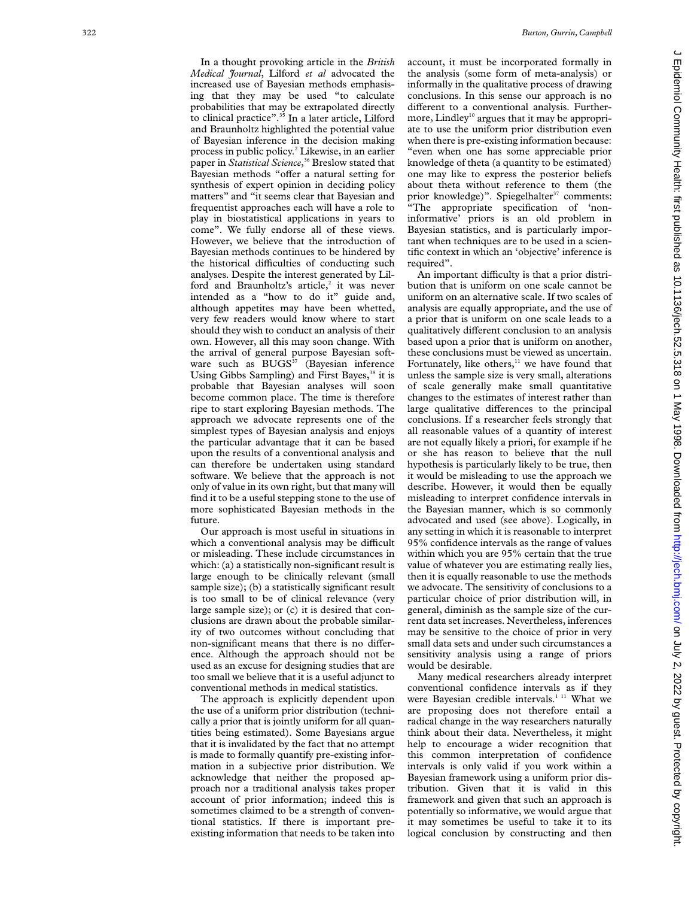In a thought provoking article in the *British Medical Journal*, Lilford *et al* advocated the increased use of Bayesian methods emphasising that they may be used "to calculate probabilities that may be extrapolated directly to clinical practice".<sup>35</sup> In a later article, Lilford and Braunholtz highlighted the potential value of Bayesian inference in the decision making process in public policy. <sup>2</sup> Likewise, in an earlier paper in *Statistical Science* , <sup>36</sup> Breslow stated that .<br>Bayesian methods "offer a natural setting for synthesis of expert opinion in deciding policy matters" and "it seems clear that Bayesian and frequentist approaches each will have a role to play in biostatistical applications in years to come". We fully endorse all of these views. However, we believe that the introduction of Bayesian methods continues to be hindered by the historical difficulties of conducting such analyses. Despite the interest generated by Lilford and Braunholtz's article,<sup>2</sup> it was never intended as a "how to do it" guide and, although appetites may have been whetted, very few readers would know where to start should they wish to conduct an analysis of their own. However, all this may soon change. With the arrival of general purpose Bayesian software such as  $BUGS<sup>37</sup>$  (Bayesian inference Using Gibbs Sampling) and First Bayes,<sup>38</sup> it is probable that Bayesian analyses will soon become common place. The time is therefore ripe to start exploring Bayesian methods. The approach we advocate represents one of the simplest types of Bayesian analysis and enjoys the particular advantage that it can be based upon the results of a conventional analysis and can therefore be undertaken using standard software. We believe that the approach is not only of value in its own right, but that many will find it to be a useful stepping stone to the use of more sophisticated Bayesian methods in the future.

Our approach is most useful in situations in which a conventional analysis may be difficult or misleading. These include circumstances in which: (a) a statistically non-significant result is large enough to be clinically relevant (small sample size); (b) a statistically significant result is too small to be of clinical relevance (very large sample size); or (c) it is desired that conclusions are drawn about the probable similarity of two outcomes without concluding that non-significant means that there is no difference. Although the approach should not be used as an excuse for designing studies that are too small we believe that it is a useful adjunct to conventional methods in medical statistics.

The approach is explicitly dependent upon the use of a uniform prior distribution (technically a prior that is jointly uniform for all quantities being estimated). Some Bayesians argue that it is invalidated by the fact that no attempt is made to formally quantify pre-existing information in a subjective prior distribution. We acknowledge that neither the proposed approach nor a traditional analysis takes proper account of prior information; indeed this is sometimes claimed to be a strength of conventional statistics. If there is important preexisting information that needs to be taken into

account, it must be incorporated formally in the analysis (some form of meta-analysis) or informally in the qualitative process of drawing conclusions. In this sense our approach is no different to a conventional analysis. Furthermore, Lindley<sup>10</sup> argues that it may be appropriate to use the uniform prior distribution even when there is pre-existing information because: "even when one has some appreciable prior knowledge of theta (a quantity to be estimated) one may like to express the posterior beliefs about theta without reference to them (the prior knowledge)". Spiegelhalter<sup>37</sup> comments: "The appropriate specification of 'noninformative' priors is an old problem in Bayesian statistics, and is particularly important when techniques are to be used in a scientific context in which an 'objective' inference is required".

.<br>An important difficulty is that a prior distribution that is uniform on one scale cannot be uniform on an alternative scale. If two scales of analysis are equally appropriate, and the use of a prior that is uniform on one scale leads to a qualitatively different conclusion to an analysis based upon a prior that is uniform on another, these conclusions must be viewed as uncertain. Fortunately, like others, $11$  we have found that unless the sample size is very small, alterations of scale generally make small quantitative changes to the estimates of interest rather than large qualitative differences to the principal conclusions. If a researcher feels strongly that all reasonable values of a quantity of interest are not equally likely a priori, for example if he or she has reason to believe that the null hypothesis is particularly likely to be true, then it would be misleading to use the approach we describe. However, it would then be equally misleading to interpret confidence intervals in the Bayesian manner, which is so commonly advocated and used (see above). Logically, in any setting in which it is reasonable to interpret 95% confidence intervals as the range of values within which you are 95% certain that the true value of whatever you are estimating really lies, then it is equally reasonable to use the methods we advocate. The sensitivity of conclusions to a particular choice of prior distribution will, in general, diminish as the sample size of the current data set increases. Nevertheless, inferences may be sensitive to the choice of prior in very small data sets and under such circumstances a sensitivity analysis using a range of priors would be desirable.

Many medical researchers already interpret conventional confidence intervals as if they were Bayesian credible intervals.<sup>1 11</sup> What we are proposing does not therefore entail a radical change in the way researchers naturally think about their data. Nevertheless, it might help to encourage a wider recognition that this common interpretation of confidence intervals is only valid if you work within a Bayesian framework using a uniform prior distribution. Given that it is valid in this framework and given that such an approach is potentially so informative, we would argue that it may sometimes be useful to take it to its logical conclusion by constructing and then